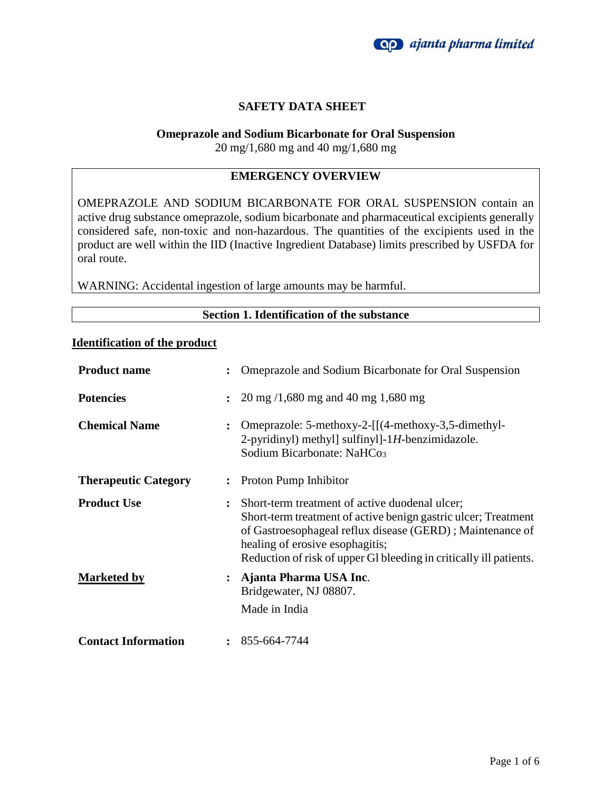

# **SAFETY DATA SHEET**

## **Omeprazole and Sodium Bicarbonate for Oral Suspension**

20 mg/1,680 mg and 40 mg/1,680 mg

# **EMERGENCY OVERVIEW**

OMEPRAZOLE AND SODIUM BICARBONATE FOR ORAL SUSPENSION contain an active drug substance omeprazole, sodium bicarbonate and pharmaceutical excipients generally considered safe, non-toxic and non-hazardous. The quantities of the excipients used in the product are well within the IID (Inactive Ingredient Database) limits prescribed by USFDA for oral route.

WARNING: Accidental ingestion of large amounts may be harmful.

## **Section 1. Identification of the substance**

## **Identification of the product**

| <b>Product name</b>         | $\ddot{\cdot}$       | Omeprazole and Sodium Bicarbonate for Oral Suspension                                                                                                                                                                                                                                  |
|-----------------------------|----------------------|----------------------------------------------------------------------------------------------------------------------------------------------------------------------------------------------------------------------------------------------------------------------------------------|
| <b>Potencies</b>            | $\ddot{\phantom{a}}$ | $20 \text{ mg } / 1,680 \text{ mg and } 40 \text{ mg } 1,680 \text{ mg}$                                                                                                                                                                                                               |
| <b>Chemical Name</b>        | $\ddot{\cdot}$       | Omeprazole: 5-methoxy-2-[[(4-methoxy-3,5-dimethyl-<br>2-pyridinyl) methyl] sulfinyl]-1H-benzimidazole.<br>Sodium Bicarbonate: NaHCo <sub>3</sub>                                                                                                                                       |
| <b>Therapeutic Category</b> | $\ddot{\cdot}$       | Proton Pump Inhibitor                                                                                                                                                                                                                                                                  |
| <b>Product Use</b>          | $\ddot{\cdot}$       | Short-term treatment of active duodenal ulcer;<br>Short-term treatment of active benign gastric ulcer; Treatment<br>of Gastroesophageal reflux disease (GERD); Maintenance of<br>healing of erosive esophagitis;<br>Reduction of risk of upper GI bleeding in critically ill patients. |
| <b>Marketed by</b>          | $\ddot{\cdot}$       | Ajanta Pharma USA Inc.<br>Bridgewater, NJ 08807.<br>Made in India                                                                                                                                                                                                                      |
| <b>Contact Information</b>  | $\ddot{\phantom{a}}$ | 855-664-7744                                                                                                                                                                                                                                                                           |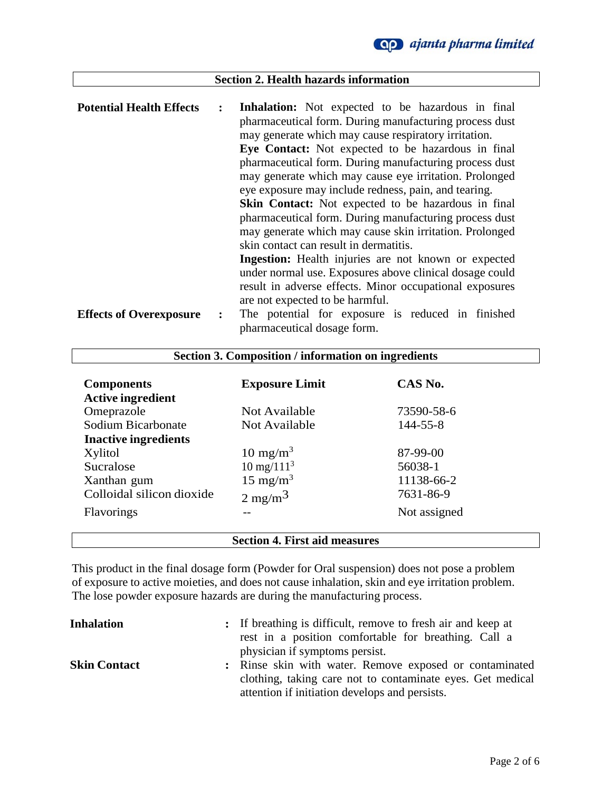

# **Section 2. Health hazards information**

| <b>Potential Health Effects</b> | $\ddot{\phantom{a}}$ | Inhalation: Not expected to be hazardous in final           |
|---------------------------------|----------------------|-------------------------------------------------------------|
|                                 |                      | pharmaceutical form. During manufacturing process dust      |
|                                 |                      | may generate which may cause respiratory irritation.        |
|                                 |                      | Eye Contact: Not expected to be hazardous in final          |
|                                 |                      | pharmaceutical form. During manufacturing process dust      |
|                                 |                      | may generate which may cause eye irritation. Prolonged      |
|                                 |                      | eye exposure may include redness, pain, and tearing.        |
|                                 |                      | <b>Skin Contact:</b> Not expected to be hazardous in final  |
|                                 |                      | pharmaceutical form. During manufacturing process dust      |
|                                 |                      | may generate which may cause skin irritation. Prolonged     |
|                                 |                      | skin contact can result in dermatitis.                      |
|                                 |                      | <b>Ingestion:</b> Health injuries are not known or expected |
|                                 |                      | under normal use. Exposures above clinical dosage could     |
|                                 |                      | result in adverse effects. Minor occupational exposures     |
|                                 |                      | are not expected to be harmful.                             |
| <b>Effects of Overexposure</b>  | $\ddot{\cdot}$       | The potential for exposure is reduced in finished           |
|                                 |                      | pharmaceutical dosage form.                                 |

| <b>Components</b>           | <b>Exposure Limit</b> | CAS No.      |
|-----------------------------|-----------------------|--------------|
| <b>Active ingredient</b>    |                       |              |
| Omeprazole                  | Not Available         | 73590-58-6   |
| Sodium Bicarbonate          | Not Available         | 144-55-8     |
| <b>Inactive ingredients</b> |                       |              |
| Xylitol                     | $10 \text{ mg/m}^3$   | 87-99-00     |
| Sucralose                   | $10 \text{ mg}/111^3$ | 56038-1      |
| Xanthan gum                 | 15 mg/m <sup>3</sup>  | 11138-66-2   |
| Colloidal silicon dioxide   | $2 \text{ mg/m}^3$    | 7631-86-9    |
| <b>Flavorings</b>           |                       | Not assigned |
|                             |                       |              |

**Section 3. Composition / information on ingredients**

## **Section 4. First aid measures**

This product in the final dosage form (Powder for Oral suspension) does not pose a problem of exposure to active moieties, and does not cause inhalation, skin and eye irritation problem. The lose powder exposure hazards are during the manufacturing process.

| <b>Inhalation</b>   | : If breathing is difficult, remove to fresh air and keep at<br>rest in a position comfortable for breathing. Call a<br>physician if symptoms persist.                  |
|---------------------|-------------------------------------------------------------------------------------------------------------------------------------------------------------------------|
| <b>Skin Contact</b> | : Rinse skin with water. Remove exposed or contaminated<br>clothing, taking care not to contaminate eyes. Get medical<br>attention if initiation develops and persists. |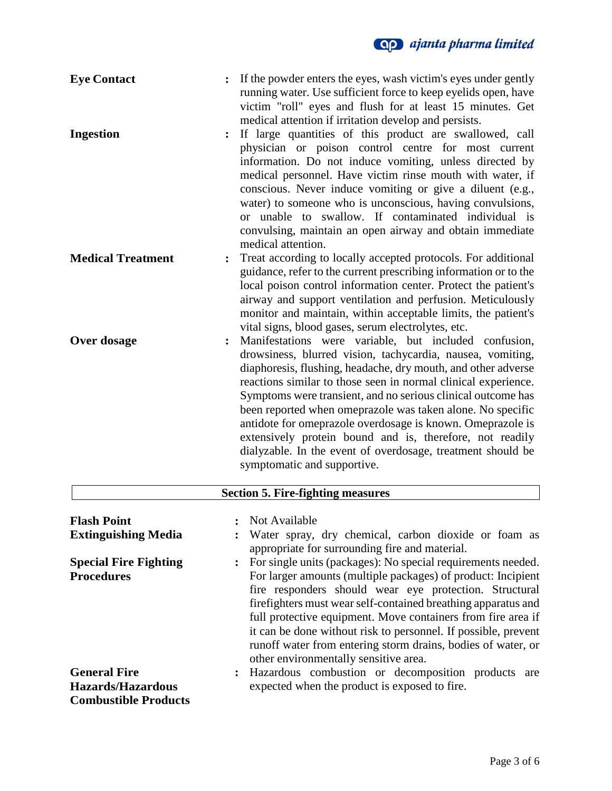| <b>Eye Contact</b>                                                             | If the powder enters the eyes, wash victim's eyes under gently<br>$\ddot{\cdot}$<br>running water. Use sufficient force to keep eyelids open, have<br>victim "roll" eyes and flush for at least 15 minutes. Get<br>medical attention if irritation develop and persists.                                                                                                                                                                                                                                                                                                                                     |
|--------------------------------------------------------------------------------|--------------------------------------------------------------------------------------------------------------------------------------------------------------------------------------------------------------------------------------------------------------------------------------------------------------------------------------------------------------------------------------------------------------------------------------------------------------------------------------------------------------------------------------------------------------------------------------------------------------|
| <b>Ingestion</b>                                                               | If large quantities of this product are swallowed, call<br>physician or poison control centre for most current<br>information. Do not induce vomiting, unless directed by<br>medical personnel. Have victim rinse mouth with water, if<br>conscious. Never induce vomiting or give a diluent (e.g.,<br>water) to someone who is unconscious, having convulsions,<br>or unable to swallow. If contaminated individual is<br>convulsing, maintain an open airway and obtain immediate<br>medical attention.                                                                                                    |
| <b>Medical Treatment</b>                                                       | Treat according to locally accepted protocols. For additional<br>guidance, refer to the current prescribing information or to the<br>local poison control information center. Protect the patient's<br>airway and support ventilation and perfusion. Meticulously<br>monitor and maintain, within acceptable limits, the patient's<br>vital signs, blood gases, serum electrolytes, etc.                                                                                                                                                                                                                     |
| Over dosage                                                                    | Manifestations were variable, but included confusion,<br>drowsiness, blurred vision, tachycardia, nausea, vomiting,<br>diaphoresis, flushing, headache, dry mouth, and other adverse<br>reactions similar to those seen in normal clinical experience.<br>Symptoms were transient, and no serious clinical outcome has<br>been reported when omeprazole was taken alone. No specific<br>antidote for omeprazole overdosage is known. Omeprazole is<br>extensively protein bound and is, therefore, not readily<br>dialyzable. In the event of overdosage, treatment should be<br>symptomatic and supportive. |
|                                                                                | <b>Section 5. Fire-fighting measures</b>                                                                                                                                                                                                                                                                                                                                                                                                                                                                                                                                                                     |
| <b>Flash Point</b><br><b>Extinguishing Media</b>                               | Not Available<br>Water spray, dry chemical, carbon dioxide or foam as                                                                                                                                                                                                                                                                                                                                                                                                                                                                                                                                        |
| <b>Special Fire Fighting</b><br><b>Procedures</b>                              | appropriate for surrounding fire and material.<br>For single units (packages): No special requirements needed.<br>For larger amounts (multiple packages) of product: Incipient<br>fire responders should wear eye protection. Structural<br>firefighters must wear self-contained breathing apparatus and<br>full protective equipment. Move containers from fire area if<br>it can be done without risk to personnel. If possible, prevent<br>runoff water from entering storm drains, bodies of water, or<br>other environmentally sensitive area.                                                         |
| <b>General Fire</b><br><b>Hazards/Hazardous</b><br><b>Combustible Products</b> | Hazardous combustion or decomposition products are<br>$\ddot{\cdot}$<br>expected when the product is exposed to fire.                                                                                                                                                                                                                                                                                                                                                                                                                                                                                        |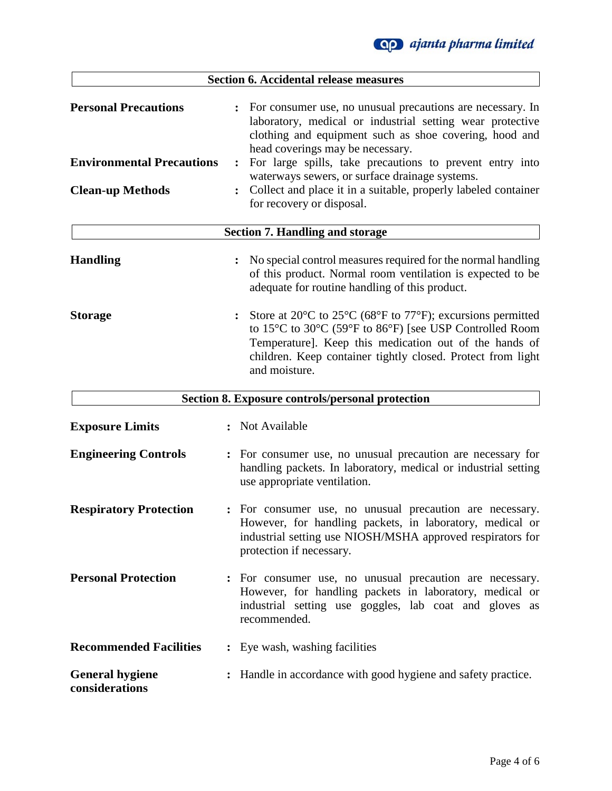

| <b>Section 6. Accidental release measures</b>                                              |                                                                                                                                                                                                                                                                                                                                                                                                                                                                        |
|--------------------------------------------------------------------------------------------|------------------------------------------------------------------------------------------------------------------------------------------------------------------------------------------------------------------------------------------------------------------------------------------------------------------------------------------------------------------------------------------------------------------------------------------------------------------------|
| <b>Personal Precautions</b><br><b>Environmental Precautions</b><br><b>Clean-up Methods</b> | For consumer use, no unusual precautions are necessary. In<br>$\ddot{\cdot}$<br>laboratory, medical or industrial setting wear protective<br>clothing and equipment such as shoe covering, hood and<br>head coverings may be necessary.<br>For large spills, take precautions to prevent entry into<br>$\ddot{\cdot}$<br>waterways sewers, or surface drainage systems.<br>Collect and place it in a suitable, properly labeled container<br>for recovery or disposal. |
|                                                                                            | <b>Section 7. Handling and storage</b>                                                                                                                                                                                                                                                                                                                                                                                                                                 |
| <b>Handling</b>                                                                            | No special control measures required for the normal handling<br>of this product. Normal room ventilation is expected to be<br>adequate for routine handling of this product.                                                                                                                                                                                                                                                                                           |
| <b>Storage</b>                                                                             | Store at $20^{\circ}$ C to $25^{\circ}$ C (68 $^{\circ}$ F to 77 $^{\circ}$ F); excursions permitted<br>to 15°C to 30°C (59°F to 86°F) [see USP Controlled Room<br>Temperature]. Keep this medication out of the hands of<br>children. Keep container tightly closed. Protect from light<br>and moisture.                                                                                                                                                              |
|                                                                                            | <b>Section 8. Exposure controls/personal protection</b>                                                                                                                                                                                                                                                                                                                                                                                                                |
| <b>Exposure Limits</b>                                                                     | Not Available                                                                                                                                                                                                                                                                                                                                                                                                                                                          |
| <b>Engineering Controls</b>                                                                | : For consumer use, no unusual precaution are necessary for<br>handling packets. In laboratory, medical or industrial setting<br>use appropriate ventilation.                                                                                                                                                                                                                                                                                                          |
| <b>Respiratory Protection</b>                                                              | : For consumer use, no unusual precaution are necessary.<br>However, for handling packets, in laboratory, medical or<br>industrial setting use NIOSH/MSHA approved respirators for<br>protection if necessary.                                                                                                                                                                                                                                                         |
| <b>Personal Protection</b>                                                                 | For consumer use, no unusual precaution are necessary.<br>However, for handling packets in laboratory, medical or<br>industrial setting use goggles, lab coat and gloves as<br>recommended.                                                                                                                                                                                                                                                                            |
| <b>Recommended Facilities</b>                                                              | : Eye wash, washing facilities                                                                                                                                                                                                                                                                                                                                                                                                                                         |
| <b>General hygiene</b><br>considerations                                                   | Handle in accordance with good hygiene and safety practice.                                                                                                                                                                                                                                                                                                                                                                                                            |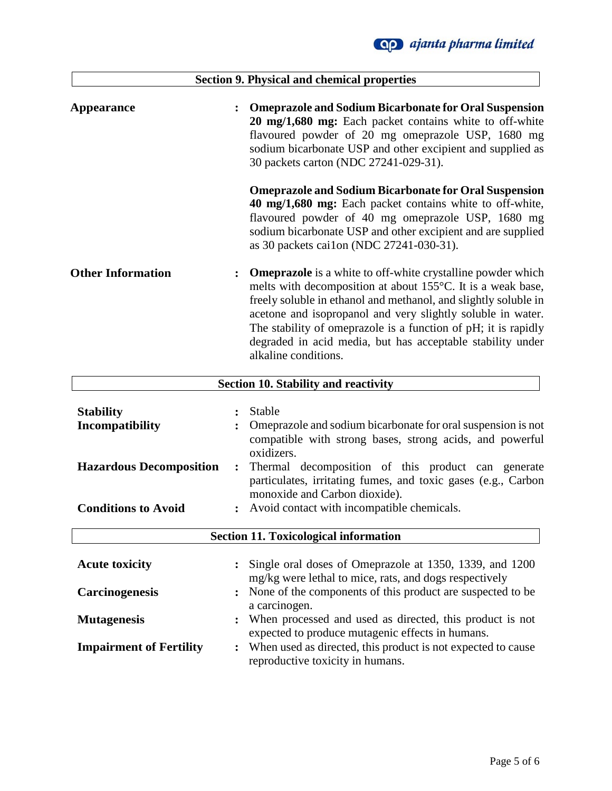|                                            | <b>Section 9. Physical and chemical properties</b>                                                                                                                                                                                                                                                                                                                                                                          |
|--------------------------------------------|-----------------------------------------------------------------------------------------------------------------------------------------------------------------------------------------------------------------------------------------------------------------------------------------------------------------------------------------------------------------------------------------------------------------------------|
| <b>Appearance</b>                          | <b>Omeprazole and Sodium Bicarbonate for Oral Suspension</b><br>$\ddot{\cdot}$<br>20 mg/1,680 mg: Each packet contains white to off-white<br>flavoured powder of 20 mg omeprazole USP, 1680 mg<br>sodium bicarbonate USP and other excipient and supplied as<br>30 packets carton (NDC 27241-029-31).                                                                                                                       |
|                                            | <b>Omeprazole and Sodium Bicarbonate for Oral Suspension</b><br>40 mg/1,680 mg: Each packet contains white to off-white,<br>flavoured powder of 40 mg omeprazole USP, 1680 mg<br>sodium bicarbonate USP and other excipient and are supplied<br>as 30 packets cai1on (NDC 27241-030-31).                                                                                                                                    |
| <b>Other Information</b>                   | <b>Omeprazole</b> is a white to off-white crystalline powder which<br>melts with decomposition at about 155°C. It is a weak base,<br>freely soluble in ethanol and methanol, and slightly soluble in<br>acetone and isopropanol and very slightly soluble in water.<br>The stability of omeprazole is a function of pH; it is rapidly<br>degraded in acid media, but has acceptable stability under<br>alkaline conditions. |
|                                            | <b>Section 10. Stability and reactivity</b>                                                                                                                                                                                                                                                                                                                                                                                 |
| <b>Stability</b><br><b>Incompatibility</b> | Stable<br>Omeprazole and sodium bicarbonate for oral suspension is not<br>compatible with strong bases, strong acids, and powerful                                                                                                                                                                                                                                                                                          |
| <b>Hazardous Decomposition</b>             | oxidizers.<br>Thermal decomposition of this product can generate<br>$\ddot{\cdot}$<br>particulates, irritating fumes, and toxic gases (e.g., Carbon<br>monoxide and Carbon dioxide).                                                                                                                                                                                                                                        |
| <b>Conditions to Avoid</b>                 | Avoid contact with incompatible chemicals.                                                                                                                                                                                                                                                                                                                                                                                  |
|                                            | <b>Section 11. Toxicological information</b>                                                                                                                                                                                                                                                                                                                                                                                |
| <b>Acute toxicity</b>                      | Single oral doses of Omeprazole at 1350, 1339, and 1200<br>mg/kg were lethal to mice, rats, and dogs respectively                                                                                                                                                                                                                                                                                                           |

**Carcinogenesis :** None of the components of this product are suspected to be a carcinogen.

- **Mutagenesis :** When processed and used as directed, this product is not expected to produce mutagenic effects in humans.
- **Impairment of Fertility :** When used as directed, this product is not expected to cause reproductive toxicity in humans.